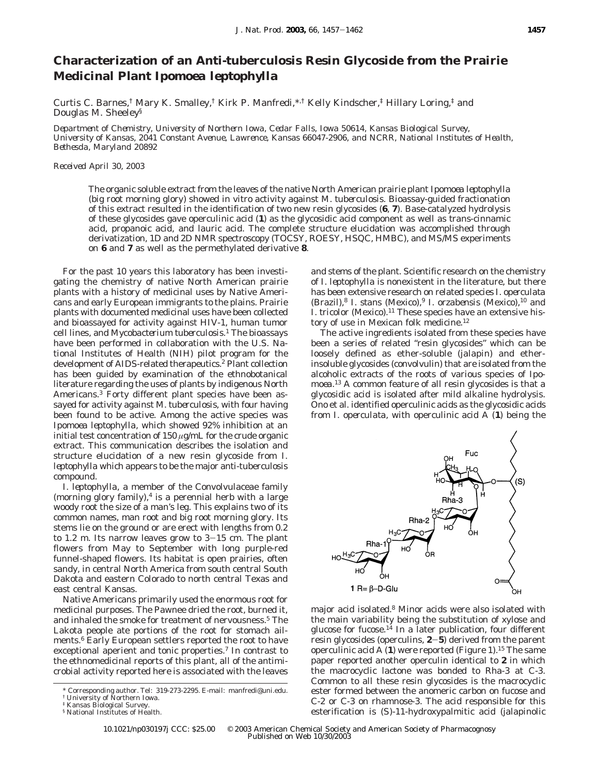# **Characterization of an Anti-tuberculosis Resin Glycoside from the Prairie Medicinal Plant** *Ipomoea leptophylla*

Curtis C. Barnes,<sup>†</sup> Mary K. Smalley,<sup>†</sup> Kirk P. Manfredi,\*,† Kelly Kindscher,<sup>‡</sup> Hillary Loring,<sup>†</sup> and Douglas M. Sheeley§

*Department of Chemistry, University of Northern Iowa, Cedar Falls, Iowa 50614, Kansas Biological Survey, University of Kansas, 2041 Constant Avenue, Lawrence, Kansas 66047-2906, and NCRR, National Institutes of Health, Bethesda, Maryland 20892*

*Received April 30, 2003*

The organic soluble extract from the leaves of the native North American prairie plant *Ipomoea leptophylla* (big root morning glory) showed in vitro activity against *M. tuberculosis.* Bioassay-guided fractionation of this extract resulted in the identification of two new resin glycosides (**6**, **7**). Base-catalyzed hydrolysis of these glycosides gave operculinic acid (**1**) as the glycosidic acid component as well as *trans-*cinnamic acid, propanoic acid, and lauric acid. The complete structure elucidation was accomplished through derivatization, 1D and 2D NMR spectroscopy (TOCSY, ROESY, HSQC, HMBC), and MS/MS experiments on **6** and **7** as well as the permethylated derivative **8**.

For the past 10 years this laboratory has been investigating the chemistry of native North American prairie plants with a history of medicinal uses by Native Americans and early European immigrants to the plains. Prairie plants with documented medicinal uses have been collected and bioassayed for activity against HIV-1, human tumor cell lines, and *Mycobacterium tuberculosis*. <sup>1</sup> The bioassays have been performed in collaboration with the U.S. National Institutes of Health (NIH) pilot program for the development of AIDS-related therapeutics.2 Plant collection has been guided by examination of the ethnobotanical literature regarding the uses of plants by indigenous North Americans.3 Forty different plant species have been assayed for activity against *M. tuberculosis*, with four having been found to be active. Among the active species was *Ipomoea leptophylla*, which showed 92% inhibition at an initial test concentration of 150 *µ*g/mL for the crude organic extract. This communication describes the isolation and structure elucidation of a new resin glycoside from *I. leptophylla* which appears to be the major anti-tuberculosis compound.

*I. leptophylla*, a member of the Convolvulaceae family (morning glory family), $4$  is a perennial herb with a large woody root the size of a man's leg. This explains two of its common names, man root and big root morning glory. Its stems lie on the ground or are erect with lengths from 0.2 to 1.2 m. Its narrow leaves grow to  $3-15$  cm. The plant flowers from May to September with long purple-red funnel-shaped flowers. Its habitat is open prairies, often sandy, in central North America from south central South Dakota and eastern Colorado to north central Texas and east central Kansas.

Native Americans primarily used the enormous root for medicinal purposes. The Pawnee dried the root, burned it, and inhaled the smoke for treatment of nervousness.<sup>5</sup> The Lakota people ate portions of the root for stomach ailments.6 Early European settlers reported the root to have exceptional aperient and tonic properties.<sup>7</sup> In contrast to the ethnomedicinal reports of this plant, all of the antimicrobial activity reported here is associated with the leaves

and stems of the plant. Scientific research on the chemistry of *I. leptophylla* is nonexistent in the literature, but there has been extensive research on related species *I. operculata* (Brazil),8 *I. stans* (Mexico),9 *I. orzabensis* (Mexico),10 and *I. tricolor* (Mexico).<sup>11</sup> These species have an extensive history of use in Mexican folk medicine.<sup>12</sup>

The active ingredients isolated from these species have been a series of related "resin glycosides" which can be loosely defined as ether-soluble (jalapin) and etherinsoluble glycosides (convolvulin) that are isolated from the alcoholic extracts of the roots of various species of *Ipomoea*. <sup>13</sup> A common feature of all resin glycosides is that a glycosidic acid is isolated after mild alkaline hydrolysis. Ono et al. identified operculinic acids as the glycosidic acids from *I. operculata*, with operculinic acid A (**1**) being the



major acid isolated.8 Minor acids were also isolated with the main variability being the substitution of xylose and glucose for fucose.<sup>14</sup> In a later publication, four different resin glycosides (operculins, **<sup>2</sup>**-**5**) derived from the parent operculinic acid A  $(1)$  were reported (Figure 1).<sup>15</sup> The same paper reported another operculin identical to **2** in which the macrocyclic lactone was bonded to Rha-3 at C-3. Common to all these resin glycosides is the macrocyclic ester formed between the anomeric carbon on fucose and C-2 or C-3 on rhamnose-3. The acid responsible for this esterification is (*S*)-11-hydroxypalmitic acid (jalapinolic

10.1021/np030197j CCC: \$25.00 © 2003 American Chemical Society and American Society of Pharmacognosy Published on Web 10/30/2003

<sup>\*</sup> Corresponding author. Tel: 319-273-2295. E-mail: manfredi@uni.edu. † University of Northern Iowa.

<sup>‡</sup> Kansas Biological Survey.

<sup>§</sup> National Institutes of Health.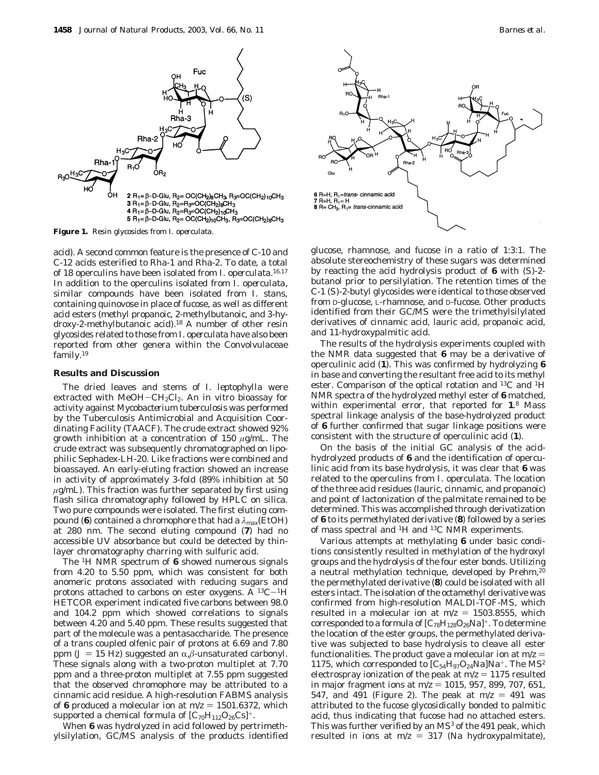

**Figure 1.** Resin glycosides from *I. operculata*.

acid). A second common feature is the presence of C-10 and C-12 acids esterified to Rha-1 and Rha-2. To date, a total of 18 operculins have been isolated from *I. operculata*. 16,17 In addition to the operculins isolated from *I. operculata*, similar compounds have been isolated from *I. stans*, containing quinovose in place of fucose, as well as different acid esters (methyl propanoic, 2-methylbutanoic, and 3-hydroxy-2-methylbutanoic acid).18 A number of other resin glycosides related to those from *I. operculata* have also been reported from other genera within the Convolvulaceae family.19

### **Results and Discussion**

The dried leaves and stems of *I. leptophylla* were extracted with MeOH-CH<sub>2</sub>Cl<sub>2</sub>. An in vitro bioassay for activity against *Mycobacterium tuberculosis* was performed by the Tuberculosis Antimicrobial and Acquisition Coordinating Facility (TAACF). The crude extract showed 92% growth inhibition at a concentration of 150 *µ*g/mL. The crude extract was subsequently chromatographed on lipophilic Sephadex-LH-20. Like fractions were combined and bioassayed. An early-eluting fraction showed an increase in activity of approximately 3-fold (89% inhibition at 50 *µ*g/mL). This fraction was further separated by first using flash silica chromatography followed by HPLC on silica. Two pure compounds were isolated. The first eluting compound (**6**) contained a chromophore that had a *λ*max(EtOH) at 280 nm. The second eluting compound (**7**) had no accessible UV absorbance but could be detected by thinlayer chromatography charring with sulfuric acid.

The 1H NMR spectrum of **6** showed numerous signals from 4.20 to 5.50 ppm, which was consistent for both anomeric protons associated with reducing sugars and protons attached to carbons on ester oxygens. A  $^{13}C-^{1}H$ HETCOR experiment indicated five carbons between 98.0 and 104.2 ppm which showed correlations to signals between 4.20 and 5.40 ppm. These results suggested that part of the molecule was a pentasaccharide. The presence of a *trans* coupled olfenic pair of protons at 6.69 and 7.80 ppm ( $J = 15$  Hz) suggested an  $\alpha$ , $\beta$ -unsaturated carbonyl. These signals along with a two-proton multiplet at 7.70 ppm and a three-proton multiplet at 7.55 ppm suggested that the observed chromophore may be attributed to a cinnamic acid residue. A high-resolution FABMS analysis of 6 produced a molecular ion at  $m/z = 1501.6372$ , which supported a chemical formula of  $[C_{70}H_{112}O_{26}Cs]^+$ .

When 6 was hydrolyzed in acid followed by pertrimethylsilylation, GC/MS analysis of the products identified



glucose, rhamnose, and fucose in a ratio of 1:3:1. The absolute stereochemistry of these sugars was determined by reacting the acid hydrolysis product of **6** with (*S*)-2 butanol prior to persilylation. The retention times of the C-1 (*S*)-2-butyl glycosides were identical to those observed from D-glucose, L-rhamnose, and D-fucose. Other products identified from their GC/MS were the trimethylsilylated derivatives of cinnamic acid, lauric acid, propanoic acid, and 11-hydroxypalmitic acid.

The results of the hydrolysis experiments coupled with the NMR data suggested that **6** may be a derivative of operculinic acid (**1**). This was confirmed by hydrolyzing **6** in base and converting the resultant free acid to its methyl ester. Comparison of the optical rotation and 13C and 1H NMR spectra of the hydrolyzed methyl ester of **6** matched, within experimental error, that reported for **1**. <sup>8</sup> Mass spectral linkage analysis of the base-hydrolyzed product of **6** further confirmed that sugar linkage positions were consistent with the structure of operculinic acid (**1**).

On the basis of the initial GC analysis of the acidhydrolyzed products of **6** and the identification of operculinic acid from its base hydrolysis, it was clear that **6** was related to the operculins from *I. operculata*. The location of the three acid residues (lauric, cinnamic, and propanoic) and point of lactonization of the palmitate remained to be determined. This was accomplished through derivatization of **6** to its permethylated derivative (**8**) followed by a series of mass spectral and 1H and 13C NMR experiments.

Various attempts at methylating **6** under basic conditions consistently resulted in methylation of the hydroxyl groups and the hydrolysis of the four ester bonds. Utilizing a neutral methylation technique, developed by Prehm,<sup>20</sup> the permethylated derivative (**8**) could be isolated with all esters intact. The isolation of the octamethyl derivative was confirmed from high-resolution MALDI-TOF-MS, which resulted in a molecular ion at  $m/z = 1503.8555$ , which corresponded to a formula of  $[C_{78}H_{128}O_{26}Na]^+$ . To determine the location of the ester groups, the permethylated derivative was subjected to base hydrolysis to cleave all ester functionalities. The product gave a molecular ion at  $m/z =$ 1175, which corresponded to  $[C_{54}H_{97}O_{24}Na]Na^+$ . The MS<sup>2</sup> electrospray ionization of the peak at  $m/z = 1175$  resulted in major fragment ions at  $m/z = 1015$ , 957, 899, 707, 651, 547, and 491 (Figure 2). The peak at  $m/z = 491$  was attributed to the fucose glycosidically bonded to palmitic acid, thus indicating that fucose had no attached esters. This was further verified by an  $MS<sup>3</sup>$  of the 491 peak, which resulted in ions at  $m/z = 317$  (Na hydroxypalmitate),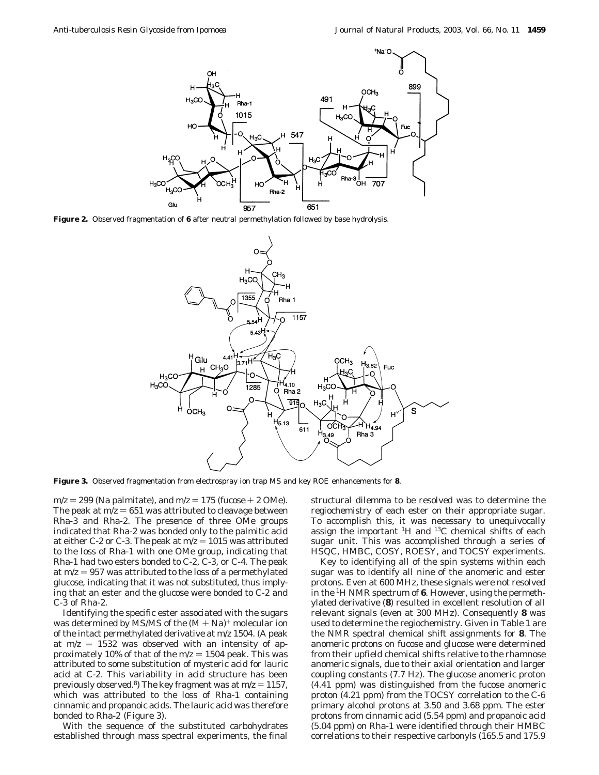

**Figure 2.** Observed fragmentation of **6** after neutral permethylation followed by base hydrolysis.



**Figure 3.** Observed fragmentation from electrospray ion trap MS and key ROE enhancements for **8**.

 $m/z = 299$  (Na palmitate), and  $m/z = 175$  (fucose  $+ 2$  OMe). The peak at  $m/z = 651$  was attributed to cleavage between Rha-3 and Rha-2. The presence of three OMe groups indicated that Rha-2 was bonded only to the palmitic acid at either C-2 or C-3. The peak at  $m/z = 1015$  was attributed to the loss of Rha-1 with one OMe group, indicating that Rha-1 had two esters bonded to C-2, C-3, or C-4. The peak at  $m/z = 957$  was attributed to the loss of a permethylated glucose, indicating that it was not substituted, thus implying that an ester and the glucose were bonded to C-2 and C-3 of Rha-2.

Identifying the specific ester associated with the sugars was determined by MS/MS of the  $(M + Na)^+$  molecular ion of the intact permethylated derivative at *m*/*z* 1504. (A peak at  $m/z = 1532$  was observed with an intensity of approximately 10% of that of the  $m/z = 1504$  peak. This was attributed to some substitution of mysteric acid for lauric acid at C-2. This variability in acid structure has been previously observed.<sup>8</sup>) The key fragment was at  $m/z = 1157$ , which was attributed to the loss of Rha-1 containing cinnamic and propanoic acids. The lauric acid was therefore bonded to Rha-2 (Figure 3).

With the sequence of the substituted carbohydrates established through mass spectral experiments, the final structural dilemma to be resolved was to determine the regiochemistry of each ester on their appropriate sugar. To accomplish this, it was necessary to unequivocally assign the important 1H and 13C chemical shifts of each sugar unit. This was accomplished through a series of HSQC, HMBC, COSY, ROESY, and TOCSY experiments.

Key to identifying all of the spin systems within each sugar was to identify all nine of the anomeric and ester protons. Even at 600 MHz, these signals were not resolved in the 1H NMR spectrum of **6**. However, using the permethylated derivative (**8**) resulted in excellent resolution of all relevant signals (even at 300 MHz). Consequently **8** was used to determine the regiochemistry. Given in Table 1 are the NMR spectral chemical shift assignments for **8**. The anomeric protons on fucose and glucose were determined from their upfield chemical shifts relative to the rhamnose anomeric signals, due to their axial orientation and larger coupling constants (7.7 Hz). The glucose anomeric proton (4.41 ppm) was distinguished from the fucose anomeric proton (4.21 ppm) from the TOCSY correlation to the C-6 primary alcohol protons at 3.50 and 3.68 ppm. The ester protons from cinnamic acid (5.54 ppm) and propanoic acid (5.04 ppm) on Rha-1 were identified through their HMBC correlations to their respective carbonyls (165.5 and 175.9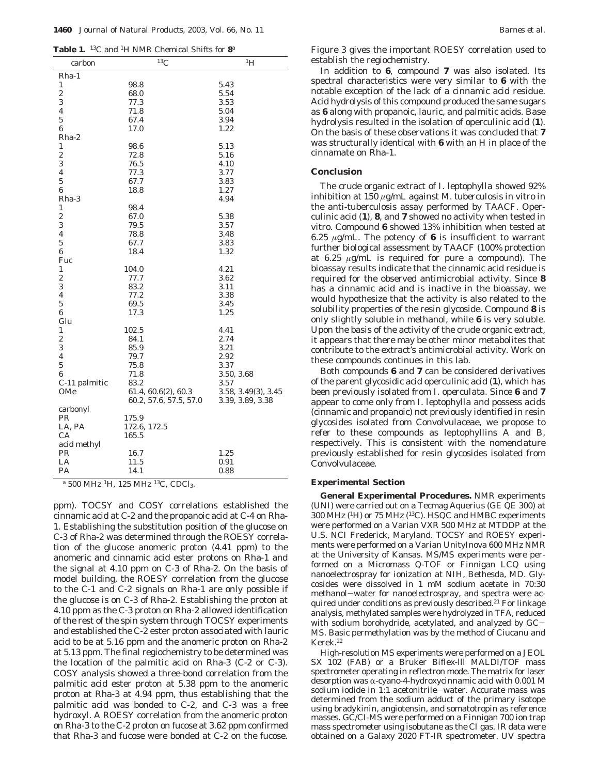|  |  |  | <b>Table 1.</b> <sup>13</sup> C and <sup>1</sup> H NMR Chemical Shifts for $\mathbf{8}^{\mathsf{a}}$ |  |  |  |
|--|--|--|------------------------------------------------------------------------------------------------------|--|--|--|
|--|--|--|------------------------------------------------------------------------------------------------------|--|--|--|

| carbon                  | ${}^{13}C$             | $^{1}H$             |
|-------------------------|------------------------|---------------------|
| Rha-1                   |                        |                     |
| $\mathbf{1}$            | 98.8                   | 5.43                |
| $\boldsymbol{2}$        | 68.0                   | 5.54                |
| 3                       | 77.3                   | 3.53                |
| $\overline{\mathbf{4}}$ | 71.8                   | 5.04                |
| $\bf 5$                 | 67.4                   | 3.94                |
| 6                       | 17.0                   | 1.22                |
| Rha-2                   |                        |                     |
| 1                       | 98.6                   | 5.13                |
| $\boldsymbol{2}$        | 72.8                   | 5.16                |
| 3                       | 76.5                   | 4.10                |
| $\overline{\mathbf{4}}$ | 77.3                   | 3.77                |
| $\overline{5}$          | 67.7                   | 3.83                |
| $\bf{6}$                | 18.8                   | 1.27                |
| Rha-3                   |                        | 4.94                |
| 1                       | 98.4                   |                     |
| $\boldsymbol{2}$        | 67.0                   | 5.38                |
| 3                       | 79.5                   | 3.57                |
| $\overline{\mathbf{4}}$ | 78.8                   | 3.48                |
| $\overline{5}$          | 67.7                   | 3.83                |
| 6                       | 18.4                   | 1.32                |
| Fuc                     |                        |                     |
| $\mathbf{1}$            | 104.0                  | 4.21                |
| $\overline{2}$          | 77.7                   | 3.62                |
| 3                       | 83.2                   | 3.11                |
| 4                       | 77.2                   | 3.38                |
| $\overline{5}$          | 69.5                   | 3.45                |
| 6                       | 17.3                   | 1.25                |
| Glu                     |                        |                     |
| $\mathbf{1}$            | 102.5                  | 4.41                |
| $\overline{\mathbf{c}}$ | 84.1                   | 2.74                |
| 3                       | 85.9                   | 3.21                |
| 4                       | 79.7                   | 2.92                |
| $\overline{5}$          | 75.8                   | 3.37                |
| 6                       | 71.8                   | 3.50, 3.68          |
| C-11 palmitic           | 83.2                   | 3.57                |
| OMe                     | 61.4, 60.6(2), 60.3    | 3.58, 3.49(3), 3.45 |
|                         | 60.2, 57.6, 57.5, 57.0 | 3.39, 3.89, 3.38    |
| carbonyl                |                        |                     |
| PR                      | 175.9                  |                     |
| LA, PA                  | 172.6, 172.5           |                     |
| CA                      | 165.5                  |                     |
| acid methyl             |                        |                     |
| PR                      | 16.7                   | 1.25                |
| LA                      | 11.5                   | 0.91                |
| PA                      | 14.1                   | 0.88                |

*<sup>a</sup>* 500 MHz 1H, 125 MHz 13C, CDCl3.

ppm). TOCSY and COSY correlations established the cinnamic acid at C-2 and the propanoic acid at C-4 on Rha-1. Establishing the substitution position of the glucose on C-3 of Rha-2 was determined through the ROESY correlation of the glucose anomeric proton (4.41 ppm) to the anomeric and cinnamic acid ester protons on Rha-1 and the signal at 4.10 ppm on C-3 of Rha-2. On the basis of model building, the ROESY correlation from the glucose to the C-1 and C-2 signals on Rha-1 are only possible if the glucose is on C-3 of Rha-2. Establishing the proton at 4.10 ppm as the C-3 proton on Rha-2 allowed identification of the rest of the spin system through TOCSY experiments and established the C-2 ester proton associated with lauric acid to be at 5.16 ppm and the anomeric proton on Rha-2 at 5.13 ppm. The final regiochemistry to be determined was the location of the palmitic acid on Rha-3 (C-2 or C-3). COSY analysis showed a three-bond correlation from the palmitic acid ester proton at 5.38 ppm to the anomeric proton at Rha-3 at 4.94 ppm, thus establishing that the palmitic acid was bonded to C-2, and C-3 was a free hydroxyl. A ROESY correlation from the anomeric proton on Rha-3 to the C-2 proton on fucose at 3.62 ppm confirmed that Rha-3 and fucose were bonded at C-2 on the fucose.

Figure 3 gives the important ROESY correlation used to establish the regiochemistry.

In addition to **6**, compound **7** was also isolated. Its spectral characteristics were very similar to **6** with the notable exception of the lack of a cinnamic acid residue. Acid hydrolysis of this compound produced the same sugars as **6** along with propanoic, lauric, and palmitic acids. Base hydrolysis resulted in the isolation of operculinic acid (**1**). On the basis of these observations it was concluded that **7** was structurally identical with **6** with an H in place of the cinnamate on Rha-1.

## **Conclusion**

The crude organic extract of *I. leptophylla* showed 92% inhibition at 150 *µ*g/mL against *M. tuberculosis* in vitro in the anti-tuberculosis assay performed by TAACF. Operculinic acid (**1**), **8**, and **7** showed no activity when tested in vitro. Compound **6** showed 13% inhibition when tested at 6.25 *µ*g/mL. The potency of **6** is insufficient to warrant further biological assessment by TAACF (100% protection at 6.25 *µ*g/mL is required for pure a compound). The bioassay results indicate that the cinnamic acid residue is required for the observed antimicrobial activity. Since **8** has a cinnamic acid and is inactive in the bioassay, we would hypothesize that the activity is also related to the solubility properties of the resin glycoside. Compound **8** is only slightly soluble in methanol, while **6** is very soluble. Upon the basis of the activity of the crude organic extract, it appears that there may be other minor metabolites that contribute to the extract's antimicrobial activity. Work on these compounds continues in this lab.

Both compounds **6** and **7** can be considered derivatives of the parent glycosidic acid operculinic acid (**1**), which has been previously isolated from *I. operculata*. Since **6** and **7** appear to come only from *I. leptophylla* and possess acids (cinnamic and propanoic) not previously identified in resin glycosides isolated from Convolvulaceae, we propose to refer to these compounds as leptophyllins A and B, respectively. This is consistent with the nomenclature previously established for resin glycosides isolated from Convolvulaceae.

## **Experimental Section**

**General Experimental Procedures.** NMR experiments (UNI) were carried out on a Tecmag Aquerius (GE QE 300) at 300 MHz (1H) or 75 MHz (13C). HSQC and HMBC experiments were performed on a Varian VXR 500 MHz at MTDDP at the U.S. NCI Frederick, Maryland. TOCSY and ROESY experiments were performed on a Varian UnityInova 600 MHz NMR at the University of Kansas. MS/MS experiments were performed on a Micromass Q-TOF or Finnigan LCQ using nanoelectrospray for ionization at NIH, Bethesda, MD. Glycosides were dissolved in 1 mM sodium acetate in 70:30 methanol-water for nanoelectrospray, and spectra were acquired under conditions as previously described.<sup>21</sup> For linkage analysis, methylated samples were hydrolyzed in TFA, reduced with sodium borohydride, acetylated, and analyzed by GC-MS. Basic permethylation was by the method of Ciucanu and Kerek.22

High-resolution MS experiments were performed on a JEOL SX 102 (FAB) or a Bruker Biflex-lll MALDI/TOF mass spectrometer operating in reflectron mode. The matrix for laser desorption was  $\alpha$ -cyano-4-hydroxycinnamic acid with 0.001 M sodium iodide in 1:1 acetonitrile-water. Accurate mass was determined from the sodium adduct of the primary isotope using bradykinin, angiotensin, and somatotropin as reference masses. GC/CI-MS were performed on a Finnigan 700 ion trap mass spectrometer using isobutane as the CI gas. IR data were obtained on a Galaxy 2020 FT-IR spectrometer. UV spectra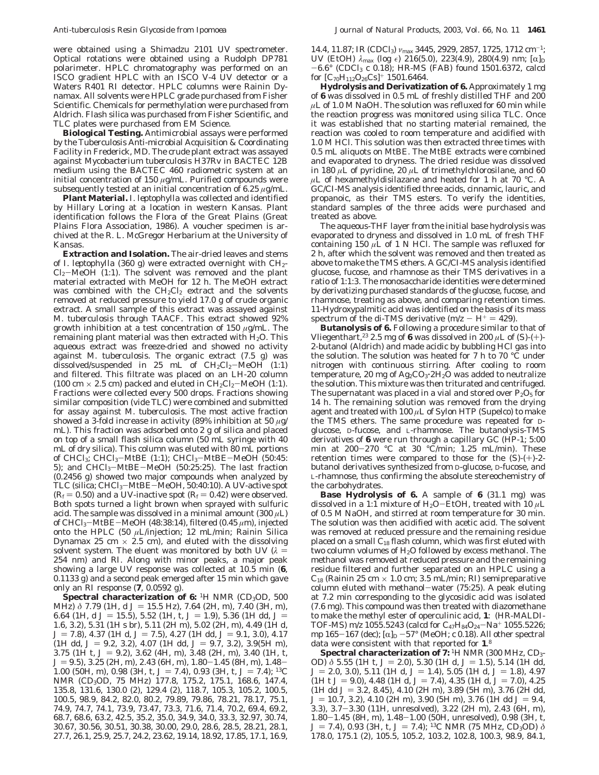were obtained using a Shimadzu 2101 UV spectrometer. Optical rotations were obtained using a Rudolph DP781 polarimeter. HPLC chromatography was performed on an ISCO gradient HPLC with an ISCO V-4 UV detector or a Waters R401 RI detector. HPLC columns were Rainin Dynamax. All solvents were HPLC grade purchased from Fisher Scientific. Chemicals for permethylation were purchased from Aldrich. Flash silica was purchased from Fisher Scientific, and TLC plates were purchased from EM Science.

**Biological Testing.** Antimicrobial assays were performed by the Tuberculosis Anti-microbial Acquisition & Coordinating Facility in Frederick, MD. The crude plant extract was assayed against *Mycobacterium tuberculosis* H37Rv in BACTEC 12B medium using the BACTEC 460 radiometric system at an initial concentration of 150 *µ*g/mL. Purified compounds were subsequently tested at an initial concentration of 6.25 *µ*g/mL.

**Plant Material.** *I. leptophylla* was collected and identified by Hillary Loring at a location in western Kansas. Plant identification follows the Flora of the Great Plains (Great Plains Flora Association, 1986). A voucher specimen is archived at the R. L. McGregor Herbarium at the University of Kansas.

**Extraction and Isolation.** The air-dried leaves and stems of *I. leptophylla* (360 g) were extracted overnight with CH<sub>2</sub>- $Cl_2-MeOH$  (1:1). The solvent was removed and the plant material extracted with MeOH for 12 h. The MeOH extract was combined with the  $CH_2Cl_2$  extract and the solvents removed at reduced pressure to yield 17.0 g of crude organic extract. A small sample of this extract was assayed against *M. tuberculosis* through TAACF. This extract showed 92% growth inhibition at a test concentration of 150 *µ*g/mL. The remaining plant material was then extracted with  $H_2O$ . This aqueous extract was freeze-dried and showed no activity against *M. tuberculosis*. The organic extract (7.5 g) was dissolved/suspended in 25 mL of  $CH_2Cl_2-MeOH$  (1:1) and filtered. This filtrate was placed on an LH-20 column (100 cm  $\times$  2.5 cm) packed and eluted in  $CH_2Cl_2-MeOH$  (1:1). Fractions were collected every 500 drops. Fractions showing similar composition (vide TLC) were combined and submitted for assay against *M. tuberculosis*. The most active fraction showed a 3-fold increase in activity (89% inhibition at 50 *µ*g/ mL). This fraction was adsorbed onto 2 g of silica and placed on top of a small flash silica column (50 mL syringe with 40 mL of dry silica). This column was eluted with 80 mL portions of CHCl<sub>3</sub>; CHCl<sub>3</sub>-MtBE (1:1); CHCl<sub>3</sub>-MtBE-MeOH (50:45: 5); and  $CHCl<sub>3</sub>-MtBE-MeOH$  (50:25:25). The last fraction (0.2456 g) showed two major compounds when analyzed by TLC (silica; CHCl<sub>3</sub>-MtBE-MeOH, 50:40:10). A UV-active spot  $(R_f = 0.50)$  and a UV-inactive spot  $(R_f = 0.42)$  were observed. Both spots turned a light brown when sprayed with sulfuric acid. The sample was dissolved in a minimal amount (300 *µ*L) of CHCl3-MtBE-MeOH (48:38:14), filtered (0.45 *<sup>µ</sup>*m), injected onto the HPLC (50 *µ*L/injection; 12 mL/min; Rainin Silica Dynamax 25 cm  $\times$  2.5 cm), and eluted with the dissolving solvent system. The eluent was monitored by both UV  $(\lambda =$ 254 nm) and RI. Along with minor peaks, a major peak showing a large UV response was collected at 10.5 min (**6**, 0.1133 g) and a second peak emerged after 15 min which gave only an RI response (**7**, 0.0592 g).

Spectral characterization of 6: <sup>1</sup>H NMR (CD<sub>3</sub>OD, 500) MH<sub>z</sub>) *δ* 7.79 (1H, d *J* = 15.5 Hz), 7.64 (2H, m), 7.40 (3H, m), 6.64 (1H, d  $J = 15.5$ ), 5.52 (1H, t,  $J = 1.9$ ), 5.36 (1H dd,  $J =$ 1.6, 3.2), 5.31 (1H s br), 5.11 (2H m), 5.02 (2H, m), 4.49 (1H d, *J* = 7.8), 4.37 (1H d, *J* = 7.5), 4.27 (1H dd, *J* = 9.1, 3.0), 4.17  $(1H d,d, J = 9.2, 3.2), 4.07 (1H d,d, J = 9.7, 3.2), 3.9(5H m),$ 3.75 (1H t,  $J = 9.2$ ), 3.62 (4H, m), 3.48 (2H, m), 3.40 (1H, t, *J* = 9.5), 3.25 (2H, m), 2.43 (6H, m), 1.80-1.45 (8H, m), 1.48-1.00 (50H, m), 0.98 (3H, t,  $J = 7.4$ ), 0.93 (3H, t,  $J = 7.4$ ); <sup>13</sup>C NMR (CD<sub>3</sub>OD, 75 MHz) 177.8, 175.2, 175.1, 168.6, 147.4, 135.8, 131.6, 130.0 (2), 129.4 (2), 118.7, 105.3, 105.2, 100.5, 100.5, 98.9, 84.2, 82.0, 80.2, 79.89, 79.86, 78.21, 78.17, 75.1, 74.9, 74.7, 74.1, 73.9, 73.47, 73.3, 71.6, 71.4, 70.2, 69.4, 69.2, 68.7, 68.6, 63.2, 42.5, 35.2, 35.0, 34.9, 34.0, 33.3, 32.97, 30.74, 30.67, 30.56, 30.51, 30.38, 30.00, 29.0, 28.6, 28.5, 28.21, 28.1, 27.7, 26.1, 25.9, 25.7, 24.2, 23.62, 19.14, 18.92, 17.85, 17.1, 16.9,

14.4, 11.87; IR (CDCl<sub>3</sub>)  $ν_{\text{max}}$  3445, 2929, 2857, 1725, 1712 cm<sup>-1</sup>; UV (EtOH)  $\lambda_{\text{max}}$  (log ε) 216(5.0), 223(4.9), 280(4.9) nm; [α]<sub>D</sub> -6.6° (CDCl3 *<sup>c</sup>* 0.18); HR-MS (FAB) found 1501.6372, calcd for  $[C_{70}H_{112}O_{26}Cs]$ <sup>+</sup> 1501.6464.

**Hydrolysis and Derivatization of 6.** Approximately 1 mg of **6** was dissolved in 0.5 mL of freshly distilled THF and 200 *µ*L of 1.0 M NaOH. The solution was refluxed for 60 min while the reaction progress was monitored using silica TLC. Once it was established that no starting material remained, the reaction was cooled to room temperature and acidified with 1.0 M HCl. This solution was then extracted three times with 0.5 mL aliquots on MtBE. The MtBE extracts were combined and evaporated to dryness. The dried residue was dissolved in 180 *µ*L of pyridine, 20 *µ*L of trimethylchlorosilane, and 60  $\mu$ L of hexamethyldisilazane and heated for 1 h at 70 °C. A GC/CI-MS analysis identified three acids, cinnamic, lauric, and propanoic, as their TMS esters. To verify the identities, standard samples of the three acids were purchased and treated as above.

The aqueous-THF layer from the initial base hydrolysis was evaporated to dryness and dissolved in 1.0 mL of fresh THF containing 150  $\mu$ L of 1 N HCl. The sample was refluxed for 2 h, after which the solvent was removed and then treated as above to make the TMS ethers. A GC/CI-MS analysis identified glucose, fucose, and rhamnose as their TMS derivatives in a ratio of 1:1:3. The monosaccharide identities were determined by derivatizing purchased standards of the glucose, fucose, and rhamnose, treating as above, and comparing retention times. 11-Hydroxypalmitic acid was identified on the basis of its mass spectrum of the di-TMS derivative  $(m/z - H^+ = 429)$ .

**Butanolysis of 6.** Following a procedure similar to that of Vliegenthart,<sup>23</sup> 2.5 mg of 6 was dissolved in 200  $\mu$ L of (S)-(+)-2-butanol (Aldrich) and made acidic by bubbling HCl gas into the solution. The solution was heated for 7 h to 70 °C under nitrogen with continuous stirring. After cooling to room temperature, 20 mg of Ag2CO3'2H2O was added to neutralize the solution. This mixture was then triturated and centrifuged. The supernatant was placed in a vial and stored over  $P_2O_5$  for 14 h. The remaining solution was removed from the drying agent and treated with  $100 \mu L$  of Sylon HTP (Supelco) to make the TMS ethers. The same procedure was repeated for Dglucose, D-fucose, and L-rhamnose. The butanolysis-TMS derivatives of **6** were run through a capillary GC (HP-1; 5:00 min at 200-270 °C at 30 °C/min; 1.25 mL/min). These retention times were compared to those for the (*S*)-(+)-2 butanol derivatives synthesized from D-glucose, D-fucose, and L-rhamnose, thus confirming the absolute stereochemistry of the carbohydrates.

**Base Hydrolysis of 6.** A sample of **6** (31.1 mg) was dissolved in a 1:1 mixture of H2O-EtOH, treated with 10 *<sup>µ</sup>*<sup>L</sup> of 0.5 M NaOH, and stirred at room temperature for 30 min. The solution was then acidified with acetic acid. The solvent was removed at reduced pressure and the remaining residue placed on a small  $C_{18}$  flash column, which was first eluted with two column volumes of  $H<sub>2</sub>O$  followed by excess methanol. The methanol was removed at reduced pressure and the remaining residue filtered and further separated on an HPLC using a  $\rm{C}_{18}$  (Rainin 25 cm  $\times$  1.0 cm; 3.5 mL/min; RI) semipreparative column eluted with methanol-water (75:25). A peak eluting at 7.2 min corresponding to the glycosidic acid was isolated (7.6 mg). This compound was then treated with diazomethane to make the methyl ester of operculinic acid, **1**: (HR-MALDI-TOF-MS) *m*/*z* 1055.5243 (calcd for C<sub>47</sub>H<sub>84</sub>O<sub>24</sub>-Na<sup>+</sup> 1055.5226; mp 165-167 (dec); [α]<sub>D</sub> -57° (MeOH; *c* 0.18). All other spectral data were consistent with that reported for **1**. 8

**Spectral characterization of 7:** <sup>1</sup>H NMR (300 MHz, CD<sub>3</sub>-OD)  $\delta$  5.55 (1H t, *J* = 2.0), 5.30 (1H d, *J* = 1.5), 5.14 (1H dd,  $J = 2.0, 3.0$ , 5.11 (1H d,  $J = 1.4$ ), 5.05 (1H d,  $J = 1.8$ ), 4.97  $(1H t J = 9.0), 4.48$  (1H d,  $J = 7.4$ ), 4.35 (1H d,  $J = 7.0$ ), 4.25 (1H dd  $J = 3.2, 8.45$ ), 4.10 (2H m), 3.89 (5H m), 3.76 (2H dd,  $J = 10.7, 3.2$ , 4.10 (2H m), 3.90 (5H m), 3.76 (1H dd  $J = 9.4$ , 3.3), 3.7-3.30 (11H, unresolved), 3.22 (2H m), 2.43 (6H, m), 1.80-1.45 (8H, m), 1.48-1.00 (50H, unresolved), 0.98 (3H, t,  $I = 7.4$ ) 0.93 (3H t,  $I = 7.4$ ) <sup>13</sup>C NMR (75 MHz, CD<sub>2</sub>OD)  $\delta$ *J* = 7.4), 0.93 (3H, t, *J* = 7.4); <sup>13</sup>C NMR (75 MHz, CD<sub>3</sub>OD) *δ*<br>178 0 175 1 (2) 105 5 105 2 103 2 102 8 100 3 98 9 84 1 178.0, 175.1 (2), 105.5, 105.2, 103.2, 102.8, 100.3, 98.9, 84.1,